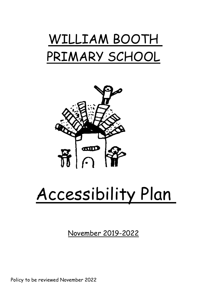



# Accessibility Plan

November 2019-2022

Policy to be reviewed November 2022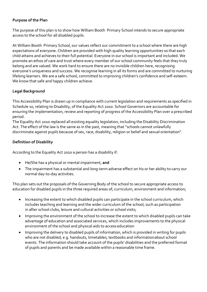### **Purpose of the Plan**

The purpose of this plan is to show how William Booth Primary School intends to secure appropriate access to the school for all disabled pupils.

At William Booth Primary School, our values reflect our commitment to a school where there are high expectations of everyone. Children are provided with high quality learning opportunities so that each child attains and achieves to their full potential. Everyone in our school is important and included. We promote an ethos of care and trust where every member of our school community feels that they truly belong and are valued. We work hard to ensure there are no invisible children here, recognising everyone's uniqueness and success. We recognise learning in all its forms and are committed to nurturing lifelong learners. We are a safe school, committed to improving children's confidence and self-esteem. We know that safe and happy children achieve.

### **Legal Background**

This Accessibility Plan is drawn up in compliance with current legislation and requirements as specified in Schedule 10, relating to Disability, of the Equality Act 2010. School Governors are accountable for ensuring the implementation, review and reporting of progress of the Accessibility Plan over a prescribed period.

The Equality Act 2010 replaced all existing equality legislation, including the Disability Discrimination Act. The effect of the law is the same as in the past, meaning that "schools cannot unlawfully discriminate against pupils because of sex, race, disability, religion or belief and sexual orientation".

### **Definition of Disability**

According to the Equality Act 2010 a person has a disability if:

- He/She has a physical or mental impairment, **and**
- The impairment has a substantial and long-term adverse effect on his or her ability to carry our normal day-to-day activities.

This plan sets out the proposals of the Governing Body of the school to secure appropriate access to education for disabled pupils in the three required areas of; curriculum, environment and information;

- Increasing the extent to which disabled pupils can participate in the school curriculum, which includes teaching and learning and the wider curriculum of the school, such as participation in after school clubs, leisure and cultural activities or school visits;
- Improving the environment of the school to increase the extent to which disabled pupils can take advantage of education and associated services, which includes improvements to the physical environment of the school and physical aids to access education
- Improving the delivery to disabled pupils of information, which is provided in writing for pupils who are not disabled, e.g. handouts, timetables, textbooks and informationabout school events. The information should take account of the pupils' disabilities and the preferred format of pupils and parents and be made available within a reasonable time frame.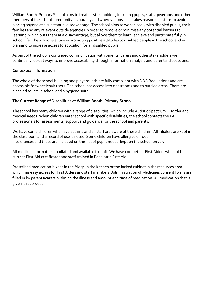William Booth Primary School aims to treat all stakeholders, including pupils, staff, governors and other members of the school community favourably and wherever possible, takes reasonable steps to avoid placing anyone at a substantial disadvantage. The school aims to work closely with disabled pupils, their families and any relevant outside agencies in order to remove or minimise any potential barriers to learning, which puts them at a disadvantage, but allows them to learn, achieve and participate fully in school life. The school is active in promoting positive attitudes to disabled people in the school and in planning to increase access to education for all disabled pupils.

As part of the school's continued communication with parents, carers and other stakeholders we continually look at ways to improve accessibility through information analysis and parental discussions.

## **Contextual information**

The whole of the school building and playgrounds are fully compliant with DDA Regulations and are accessible for wheelchair users. The school has access into classrooms and to outside areas. There are disabled toilets in school and a hygiene suite.

### **The Current Range of Disabilities at William Booth Primary School**

The school has many children with a range of disabilities, which include Autistic Spectrum Disorder and medical needs. When children enter school with specific disabilities, the school contacts the LA professionals for assessments, support and guidance for the school and parents.

We have some children who have asthma and all staff are aware of these children. All inhalers are kept in the classroom and a record of use is noted. Some children have allergies or food intolerances and these are included on the 'list of pupils needs' kept on the school server.

All medical information is collated and available to staff. We have competent First Aiders who hold current First Aid certificates and staff trained in Paediatric First Aid.

Prescribed medication is kept in the fridge in the kitchen or the locked cabinet in the resources area which has easy access for First Aiders and staff members. Administration of Medicines consent forms are filled in by parents/carers outlining the illness and amount and time of medication. All medication that is given is recorded.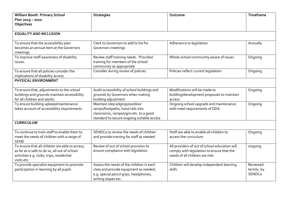| Plan 2019 - 2020<br>Objectives<br><b>EQUALITY AND INCLUSION</b>                                                                                                   |  |  |  |  |  |
|-------------------------------------------------------------------------------------------------------------------------------------------------------------------|--|--|--|--|--|
|                                                                                                                                                                   |  |  |  |  |  |
|                                                                                                                                                                   |  |  |  |  |  |
|                                                                                                                                                                   |  |  |  |  |  |
|                                                                                                                                                                   |  |  |  |  |  |
|                                                                                                                                                                   |  |  |  |  |  |
| Clerk to Governors to add to list for<br>To ensure that the accessibility plan<br>Adherence to legislation<br>Annually<br>becomes an annual item at the Governors |  |  |  |  |  |
| Governors meetings<br>meetings.                                                                                                                                   |  |  |  |  |  |
| To improve staff awareness of disability<br>Review staff training needs. Provided<br>Whole school community aware of issues<br>Ongoing                            |  |  |  |  |  |
| training for members of the school<br>issues.                                                                                                                     |  |  |  |  |  |
| community as appropriate                                                                                                                                          |  |  |  |  |  |
| To ensure that all policies consider the<br>Consider during review of policies<br>Policies reflect current legislation<br>Ongoing                                 |  |  |  |  |  |
| implications of disability access                                                                                                                                 |  |  |  |  |  |
| <b>PHYSICAL ENVIRONMENT</b>                                                                                                                                       |  |  |  |  |  |
|                                                                                                                                                                   |  |  |  |  |  |
| Modifications will be made to<br>Audit accessibility of school buildings and<br>To ensure that, adjustments to the school<br>Ongoing                              |  |  |  |  |  |
| buildings and grounds maintain accessibility<br>grounds by Governors when making<br>building/development proposals to maintain                                    |  |  |  |  |  |
| for all children and adults.<br>building adjustment.<br>access                                                                                                    |  |  |  |  |  |
| Ongoing school upgrade and maintenance<br>To ensure building upkeep/maintenance<br>Maintain step edgings/outdoor<br>Ongoing                                       |  |  |  |  |  |
| takes account of accessibility requirements<br>ramps/footpaths, hand rails into<br>with meet requirements of DDA                                                  |  |  |  |  |  |
| classrooms, ramps/signs etc. to a good                                                                                                                            |  |  |  |  |  |
| standard to secure ongoing suitable access                                                                                                                        |  |  |  |  |  |
| <b>CURRICULUM</b>                                                                                                                                                 |  |  |  |  |  |
|                                                                                                                                                                   |  |  |  |  |  |
| To continue to train staff to enable them to<br>Staff are able to enable all children to<br>SENDCo to review the needs of children<br>Ongoing                     |  |  |  |  |  |
| meet the needs of children with a range of<br>and provide training for staff as needed<br>access the curriculum<br><b>SEND</b>                                    |  |  |  |  |  |
| To ensure that all children are able to access,<br>Review of out of school provision to<br>All providers of out of school education will<br>ongoing               |  |  |  |  |  |
| ensure compliance with legislation<br>comply with legislation to ensure that the<br>as far as is safe to do so, all out of school                                 |  |  |  |  |  |
| needs of all children are met<br>activities e.g. clubs, trips, residential                                                                                        |  |  |  |  |  |
| visits etc.                                                                                                                                                       |  |  |  |  |  |
| To provide specialist equipment to promote<br>Assess the needs of the children in each<br>Reviewed<br>Children will develop independent learning                  |  |  |  |  |  |
| participation in learning by all pupils<br>class and provide equipment as needed,<br>skills<br>termly by                                                          |  |  |  |  |  |
| e.g. special pencil grips, headphones,<br>SENDCo                                                                                                                  |  |  |  |  |  |
| writing slopes etc.                                                                                                                                               |  |  |  |  |  |